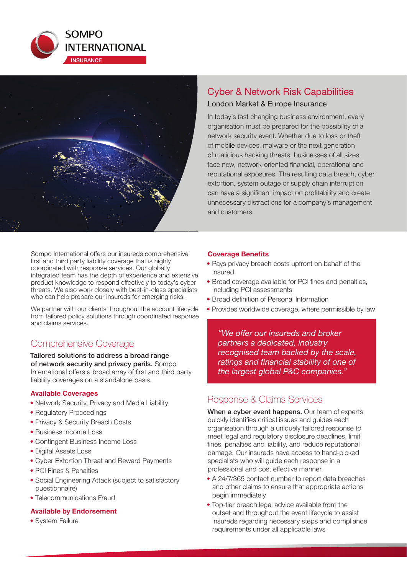



Sompo International offers our insureds comprehensive first and third party liability coverage that is highly coordinated with response services. Our globally integrated team has the depth of experience and extensive product knowledge to respond effectively to today's cyber threats. We also work closely with best-in-class specialists who can help prepare our insureds for emerging risks.

We partner with our clients throughout the account lifecycle from tailored policy solutions through coordinated response and claims services.

## Comprehensive Coverage

Tailored solutions to address a broad range of network security and privacy perils. Sompo International offers a broad array of first and third party liability coverages on a standalone basis.

#### **Available Coverages**

- Network Security, Privacy and Media Liability
- Regulatory Proceedings
- Privacy & Security Breach Costs
- Business Income Loss
- Contingent Business Income Loss
- Digital Assets Loss
- Cyber Extortion Threat and Reward Payments
- PCI Fines & Penalties
- Social Engineering Attack (subject to satisfactory questionnaire)
- Telecommunications Fraud

#### **Available by Endorsement**

• System Failure

## Cyber & Network Risk Capabilities London Market & Europe Insurance

In today's fast changing business environment, every organisation must be prepared for the possibility of a network security event. Whether due to loss or theft of mobile devices, malware or the next generation of malicious hacking threats, businesses of all sizes face new, network-oriented financial, operational and reputational exposures. The resulting data breach, cyber extortion, system outage or supply chain interruption can have a significant impact on profitability and create unnecessary distractions for a company's management and customers.

#### **Coverage Benefits**

- Pays privacy breach costs upfront on behalf of the insured
- Broad coverage available for PCI fines and penalties, including PCI assessments
- Broad definition of Personal Information
- Provides worldwide coverage, where permissible by law

*"We off er our insureds and broker partners a dedicated, industry recognised team backed by the scale, ratings and financial stability of one of the largest global P&C companies."*

### Response & Claims Services

When a cyber event happens. Our team of experts quickly identifies critical issues and guides each organisation through a uniquely tailored response to meet legal and regulatory disclosure deadlines, limit fines, penalties and liability, and reduce reputational damage. Our insureds have access to hand-picked specialists who will guide each response in a professional and cost effective manner.

- A 24/7/365 contact number to report data breaches and other claims to ensure that appropriate actions begin immediately
- Top-tier breach legal advice available from the outset and throughout the event lifecycle to assist insureds regarding necessary steps and compliance requirements under all applicable laws